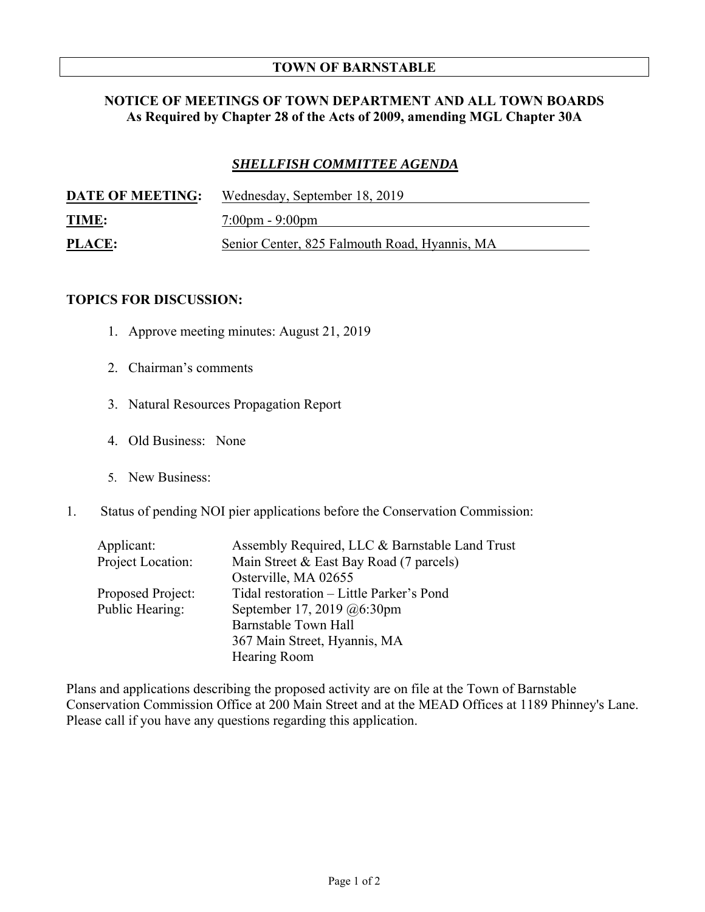## **TOWN OF BARNSTABLE**

## **NOTICE OF MEETINGS OF TOWN DEPARTMENT AND ALL TOWN BOARDS As Required by Chapter 28 of the Acts of 2009, amending MGL Chapter 30A**

## *SHELLFISH COMMITTEE AGENDA*

| <b>DATE OF MEETING:</b> | Wednesday, September 18, 2019                 |
|-------------------------|-----------------------------------------------|
| <u>TIME:</u>            | $7:00 \text{pm} - 9:00 \text{pm}$             |
| <b>PLACE:</b>           | Senior Center, 825 Falmouth Road, Hyannis, MA |

## **TOPICS FOR DISCUSSION:**

- 1. Approve meeting minutes: August 21, 2019
- 2. Chairman's comments
- 3. Natural Resources Propagation Report
- 4. Old Business: None
- 5. New Business:
- 1. Status of pending NOI pier applications before the Conservation Commission:

| Applicant:        | Assembly Required, LLC & Barnstable Land Trust |
|-------------------|------------------------------------------------|
| Project Location: | Main Street & East Bay Road (7 parcels)        |
|                   | Osterville, MA 02655                           |
| Proposed Project: | Tidal restoration – Little Parker's Pond       |
| Public Hearing:   | September 17, 2019 @6:30pm                     |
|                   | Barnstable Town Hall                           |
|                   | 367 Main Street, Hyannis, MA                   |
|                   | Hearing Room                                   |

Plans and applications describing the proposed activity are on file at the Town of Barnstable Conservation Commission Office at 200 Main Street and at the MEAD Offices at 1189 Phinney's Lane. Please call if you have any questions regarding this application.